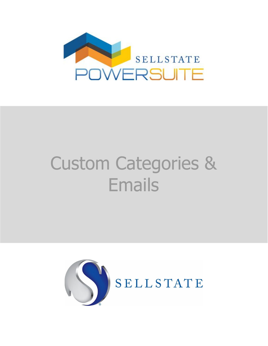

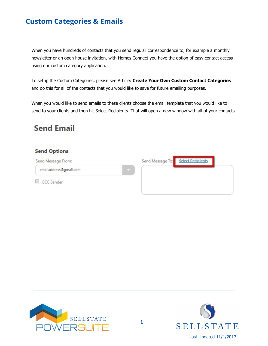When you have hundreds of contacts that you send regular correspondence to, for example a monthly newsletter or an open house invitation, with Homes Connect you have the option of easy contact access using our custom category application.

 $\_$  ,  $\_$  ,  $\_$  ,  $\_$  ,  $\_$  ,  $\_$  ,  $\_$  ,  $\_$  ,  $\_$  ,  $\_$  ,  $\_$  ,  $\_$  ,  $\_$  ,  $\_$  ,  $\_$  ,  $\_$  ,  $\_$  ,  $\_$  ,  $\_$  ,  $\_$  ,  $\_$  ,  $\_$  ,  $\_$  ,  $\_$  ,  $\_$  ,  $\_$  ,  $\_$  ,  $\_$  ,  $\_$  ,  $\_$  ,  $\_$  ,  $\_$  ,  $\_$  ,  $\_$  ,  $\_$  ,  $\_$  ,  $\_$  ,

To setup the Custom Categories, please see Article: **Create Your Own Custom Contact Categories** and do this for all of the contacts that you would like to save for future emailing purposes.

When you would like to send emails to these clients choose the email template that you would like to send to your clients and then hit Select Recipients. That will open a new window with all of your contacts.

## **Send Email**

\_

#### **Send Options**

| Send Message From:     |                            | Send Message To: Select Recipients |  |
|------------------------|----------------------------|------------------------------------|--|
| emailaddress@gmail.com | <b>Albert Construction</b> |                                    |  |
| <b>BCC</b> Sender      |                            |                                    |  |



\_

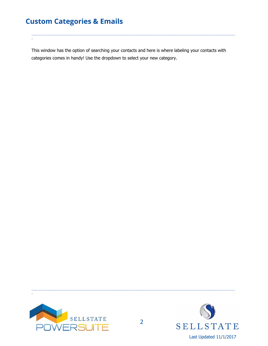\_

This window has the option of searching your contacts and here is where labeling your contacts with categories comes in handy! Use the dropdown to select your new category.

 $\_$  ,  $\_$  ,  $\_$  ,  $\_$  ,  $\_$  ,  $\_$  ,  $\_$  ,  $\_$  ,  $\_$  ,  $\_$  ,  $\_$  ,  $\_$  ,  $\_$  ,  $\_$  ,  $\_$  ,  $\_$  ,  $\_$  ,  $\_$  ,  $\_$  ,  $\_$  ,  $\_$  ,  $\_$  ,  $\_$  ,  $\_$  ,  $\_$  ,  $\_$  ,  $\_$  ,  $\_$  ,  $\_$  ,  $\_$  ,  $\_$  ,  $\_$  ,  $\_$  ,  $\_$  ,  $\_$  ,  $\_$  ,  $\_$  ,



\_

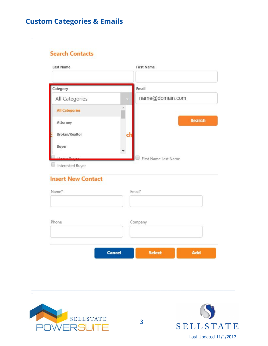**Search Contacts** 

| Last Name             | <b>First Name</b>    |
|-----------------------|----------------------|
| Category              | Email                |
| All Categories        | name@domain.com      |
| <b>All Categories</b> |                      |
| Attorney              | <b>Search</b>        |
| <b>Broker/Realtor</b> |                      |
| Buyer                 |                      |
|                       | First Name Last Name |

#### **Insert New Contact**

| Name* |               | Email*        |     |
|-------|---------------|---------------|-----|
| Phone |               | Company       |     |
|       | <b>Cancel</b> | <b>Select</b> | Add |



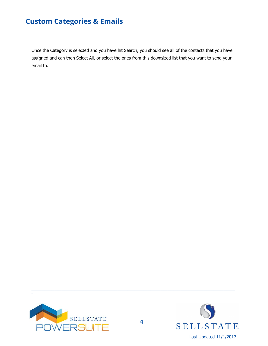\_

Once the Category is selected and you have hit Search, you should see all of the contacts that you have assigned and can then Select All, or select the ones from this downsized list that you want to send your email to.

 $\_$  ,  $\_$  ,  $\_$  ,  $\_$  ,  $\_$  ,  $\_$  ,  $\_$  ,  $\_$  ,  $\_$  ,  $\_$  ,  $\_$  ,  $\_$  ,  $\_$  ,  $\_$  ,  $\_$  ,  $\_$  ,  $\_$  ,  $\_$  ,  $\_$  ,  $\_$  ,  $\_$  ,  $\_$  ,  $\_$  ,  $\_$  ,  $\_$  ,  $\_$  ,  $\_$  ,  $\_$  ,  $\_$  ,  $\_$  ,  $\_$  ,  $\_$  ,  $\_$  ,  $\_$  ,  $\_$  ,  $\_$  ,  $\_$  ,



\_

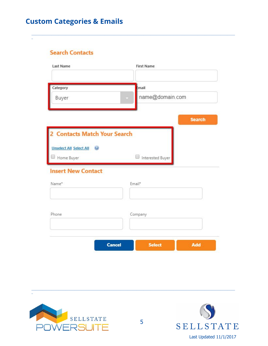**Search Contacts** 

| <b>Last Name</b>             | <b>First Name</b>                     |
|------------------------------|---------------------------------------|
| Category                     | Email                                 |
| Buyer                        | name@domain.com                       |
|                              |                                       |
|                              | <b>Search</b>                         |
| 2 Contacts Match Your Search |                                       |
| Unselect All Select All      |                                       |
| Home Buyer                   | Interested Buyer                      |
| <b>Insert New Contact</b>    |                                       |
| Name*                        | Email*                                |
|                              |                                       |
|                              |                                       |
| Phone                        | Company                               |
|                              |                                       |
|                              | <b>Cancel</b><br><b>Select</b><br>Add |
|                              |                                       |